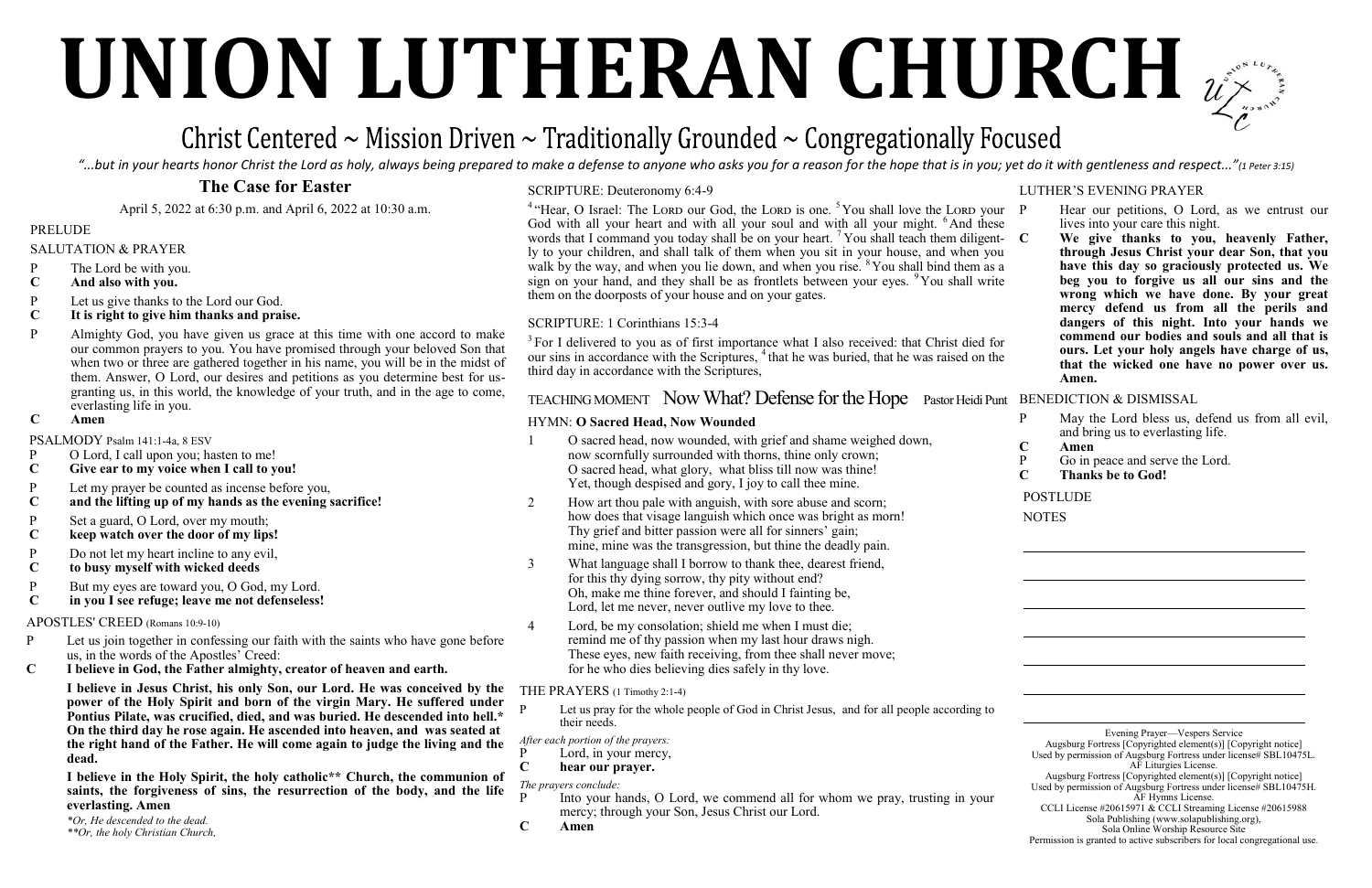# **UNION LUTHERAN CHURCH**

## Christ Centered  $\sim$  Mission Driven  $\sim$  Traditionally Grounded  $\sim$  Congregationally Focused

"...but in your hearts honor Christ the Lord as holy, always being prepared to make a defense to anyone who asks you for a reason for the hope that is in you; yet do it with gentleness and respect..."(1 Peter 3:15)

## **The Case for Easter**

April 5, 2022 at 6:30 p.m. and April 6, 2022 at 10:30 a.m.

#### PRELUDE

- SALUTATION & PRAYER
- P The Lord be with you.
- **C And also with you.**
- P Let us give thanks to the Lord our God.<br>C It is right to give him thanks and prai
- **C It is right to give him thanks and praise.**
- P Almighty God, you have given us grace at this time with one accord to make our common prayers to you. You have promised through your beloved Son that when two or three are gathered together in his name, you will be in the midst of them. Answer, O Lord, our desires and petitions as you determine best for usgranting us, in this world, the knowledge of your truth, and in the age to come, everlasting life in you.
- **C Amen**

- P O Lord, I call upon you; hasten to me!<br>C Give ear to my voice when I call to y
- Give ear to my voice when I call to you!
- P Let my prayer be counted as incense before you,
- **C and the lifting up of my hands as the evening sacrifice!**
- P Set a guard, O Lord, over my mouth;<br> **C** keep watch over the door of my lips
- **C keep watch over the door of my lips!**
- P Do not let my heart incline to any evil,<br>C to busy myself with wicked deeds
- **C to busy myself with wicked deeds**
- P But my eyes are toward you, O God, my Lord.<br>C in you I see refuge: leave me not defenseless!
- **C in you I see refuge; leave me not defenseless!**

PSALMODY Psalm 141:1-4a, 8 ESV

#### APOSTLES' CREED (Romans 10:9-10)

- P Let us join together in confessing our faith with the saints who have gone before us, in the words of the Apostles' Creed:
- **C I believe in God, the Father almighty, creator of heaven and earth.**

Let us pray for the whole people of God in Christ Jesus, and for all people according to their needs.

- P Lord, in your mercy,<br>C hear our prayer.
- **C hear our prayer.**

**I believe in Jesus Christ, his only Son, our Lord. He was conceived by the power of the Holy Spirit and born of the virgin Mary. He suffered under Pontius Pilate, was crucified, died, and was buried. He descended into hell.\* On the third day he rose again. He ascended into heaven, and was seated at the right hand of the Father. He will come again to judge the living and the dead.**

- Into your hands, O Lord, we commend all for whom we pray, trusting in your mercy; through your Son, Jesus Christ our Lord.
- **C Amen**



**I believe in the Holy Spirit, the holy catholic\*\* Church, the communion of saints, the forgiveness of sins, the resurrection of the body, and the life everlasting. Amen**

- Hear our petitions, O Lord, as we entrust our lives into your care this night.
- **C We give thanks to you, heavenly Father, through Jesus Christ your dear Son, that you have this day so graciously protected us. We beg you to forgive us all our sins and the wrong which we have done. By your great mercy defend us from all the perils and dangers of this night. Into your hands we commend our bodies and souls and all that is ours. Let your holy angels have charge of us, that the wicked one have no power over us. Amen.**

*\*Or, He descended to the dead. \*\*Or, the holy Christian Church,*

#### HYMN: **O Sacred Head, Now Wounded**

<sup>4</sup> "Hear, O Israel: The Lord our God, the Lord is one. <sup>5</sup> You shall love the Lord your God with all your heart and with all your soul and with all your might. <sup>6</sup>And these words that I command you today shall be on your heart.  $7$  You shall teach them diligent- C ly to your children, and shall talk of them when you sit in your house, and when you walk by the way, and when you lie down, and when you rise. <sup>8</sup> You shall bind them as a sign on your hand, and they shall be as frontlets between your eyes.  $9$ You shall write them on the doorposts of your house and on your gates.

- 1 O sacred head, now wounded, with grief and shame weighed down, now scornfully surrounded with thorns, thine only crown; O sacred head, what glory, what bliss till now was thine! Yet, though despised and gory, I joy to call thee mine.
- 2 How art thou pale with anguish, with sore abuse and scorn; how does that visage languish which once was bright as morn! Thy grief and bitter passion were all for sinners' gain; mine, mine was the transgression, but thine the deadly pain.
- 3 What language shall I borrow to thank thee, dearest friend, for this thy dying sorrow, thy pity without end? Oh, make me thine forever, and should I fainting be, Lord, let me never, never outlive my love to thee.
- 4 Lord, be my consolation; shield me when I must die; remind me of thy passion when my last hour draws nigh. These eyes, new faith receiving, from thee shall never move; for he who dies believing dies safely in thy love.

<sup>3</sup> For I delivered to you as of first importance what I also received: that Christ died for our sins in accordance with the Scriptures, <sup>4</sup> that he was buried, that he was raised on the third day in accordance with the Scriptures,

### TEACHING MOMENT Now What? Defense for the Hope Pastor Heidi Punt BENEDICTION & DISMISSAL

#### THE PRAYERS (1 Timothy 2:1-4)

*After each portion of the prayers:*

*The prayers conclude:* 

#### LUTHER'S EVENING PRAYER

- P May the Lord bless us, defend us from all evil, and bring us to everlasting life.
- **C Amen**
- P Go in peace and serve the Lord.<br>C Thanks be to God!
- **C Thanks be to God!**

POSTLUDE

**NOTES** 

Evening Prayer—Vespers Service

Augsburg Fortress [Copyrighted element(s)] [Copyright notice] Used by permission of Augsburg Fortress under license# SBL10475L. AF Liturgies License.

Augsburg Fortress [Copyrighted element(s)] [Copyright notice] Used by permission of Augsburg Fortress under license# SBL10475H. AF Hymns License.

CCLI License #20615971 & CCLI Streaming License #20615988 Sola Publishing (www.solapublishing.org),

Sola Online Worship Resource Site

Permission is granted to active subscribers for local congregational use.

#### SCRIPTURE: Deuteronomy 6:4-9

#### SCRIPTURE: 1 Corinthians 15:3-4